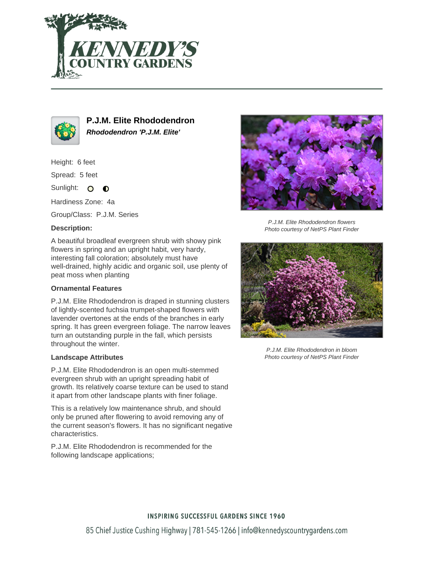



**P.J.M. Elite Rhododendron Rhododendron 'P.J.M. Elite'**

Height: 6 feet

Spread: 5 feet

Sunlight: O  $\bullet$ 

Hardiness Zone: 4a

Group/Class: P.J.M. Series

## **Description:**

A beautiful broadleaf evergreen shrub with showy pink flowers in spring and an upright habit, very hardy, interesting fall coloration; absolutely must have well-drained, highly acidic and organic soil, use plenty of peat moss when planting

## **Ornamental Features**

P.J.M. Elite Rhododendron is draped in stunning clusters of lightly-scented fuchsia trumpet-shaped flowers with lavender overtones at the ends of the branches in early spring. It has green evergreen foliage. The narrow leaves turn an outstanding purple in the fall, which persists throughout the winter.

#### **Landscape Attributes**

P.J.M. Elite Rhododendron is an open multi-stemmed evergreen shrub with an upright spreading habit of growth. Its relatively coarse texture can be used to stand it apart from other landscape plants with finer foliage.

This is a relatively low maintenance shrub, and should only be pruned after flowering to avoid removing any of the current season's flowers. It has no significant negative characteristics.

P.J.M. Elite Rhododendron is recommended for the following landscape applications;



P.J.M. Elite Rhododendron flowers Photo courtesy of NetPS Plant Finder



P.J.M. Elite Rhododendron in bloom Photo courtesy of NetPS Plant Finder

## **INSPIRING SUCCESSFUL GARDENS SINCE 1960**